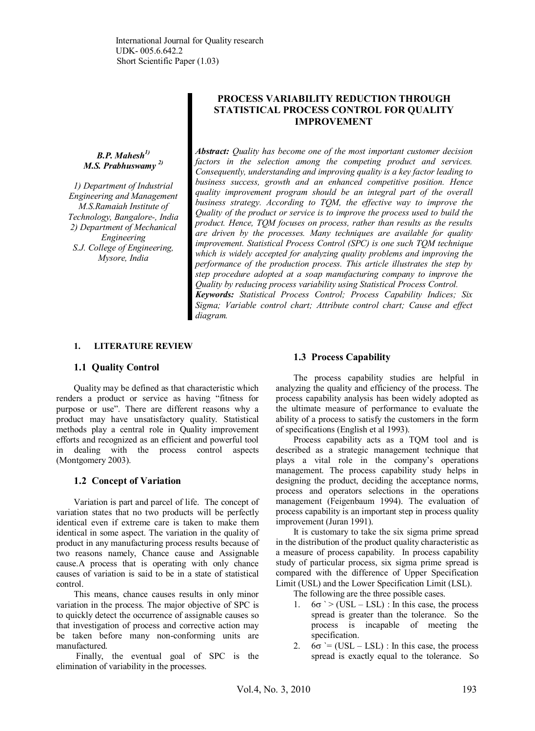*B.P. Mahesh1) M.S. Prabhuswamy 2)*

*1) Department of Industrial Engineering and Management M.S.Ramaiah Institute of Technology, Bangalore-, India 2) Department of Mechanical Engineering S.J. College of Engineering, Mysore, India*

# **PROCESS VARIABILITY REDUCTION THROUGH STATISTICAL PROCESS CONTROL FOR QUALITY IMPROVEMENT**

*Abstract: Quality has become one of the most important customer decision factors in the selection among the competing product and services. Consequently, understanding and improving quality is a key factor leading to business success, growth and an enhanced competitive position. Hence quality improvement program should be an integral part of the overall business strategy. According to TQM, the effective way to improve the Quality of the product or service is to improve the process used to build the product. Hence, TQM focuses on process, rather than results as the results are driven by the processes. Many techniques are available for quality improvement. Statistical Process Control (SPC) is one such TQM technique which is widely accepted for analyzing quality problems and improving the performance of the production process. This article illustrates the step by step procedure adopted at a soap manufacturing company to improve the Quality by reducing process variability using Statistical Process Control.*

*Keywords: Statistical Process Control; Process Capability Indices; Six Sigma; Variable control chart; Attribute control chart; Cause and effect diagram.*

#### **1. LITERATURE REVIEW**

#### **1.1 Quality Control**

Quality may be defined as that characteristic which renders a product or service as having "fitness for purpose or use". There are different reasons why a product may have unsatisfactory quality. Statistical methods play a central role in Quality improvement efforts and recognized as an efficient and powerful tool in dealing with the process control aspects (Montgomery 2003).

#### **1.2 Concept of Variation**

Variation is part and parcel of life. The concept of variation states that no two products will be perfectly identical even if extreme care is taken to make them identical in some aspect. The variation in the quality of product in any manufacturing process results because of two reasons namely, Chance cause and Assignable cause.A process that is operating with only chance causes of variation is said to be in a state of statistical control.

This means, chance causes results in only minor variation in the process. The major objective of SPC is to quickly detect the occurrence of assignable causes so that investigation of process and corrective action may be taken before many non-conforming units are manufactured.

 Finally, the eventual goal of SPC is the elimination of variability in the processes.

#### **1.3 Process Capability**

The process capability studies are helpful in analyzing the quality and efficiency of the process. The process capability analysis has been widely adopted as the ultimate measure of performance to evaluate the ability of a process to satisfy the customers in the form of specifications (English et al 1993).

Process capability acts as a TQM tool and is described as a strategic management technique that plays a vital role in the company's operations management. The process capability study helps in designing the product, deciding the acceptance norms, process and operators selections in the operations management (Feigenbaum 1994). The evaluation of process capability is an important step in process quality improvement (Juran 1991).

It is customary to take the six sigma prime spread in the distribution of the product quality characteristic as a measure of process capability. In process capability study of particular process, six sigma prime spread is compared with the difference of Upper Specification Limit (USL) and the Lower Specification Limit (LSL).

The following are the three possible cases.

- 1.  $6\sigma$  ` > (USL LSL) : In this case, the process spread is greater than the tolerance. So the process is incapable of meeting the specification.
- 2.  $6\sigma$  `= (USL LSL) : In this case, the process spread is exactly equal to the tolerance. So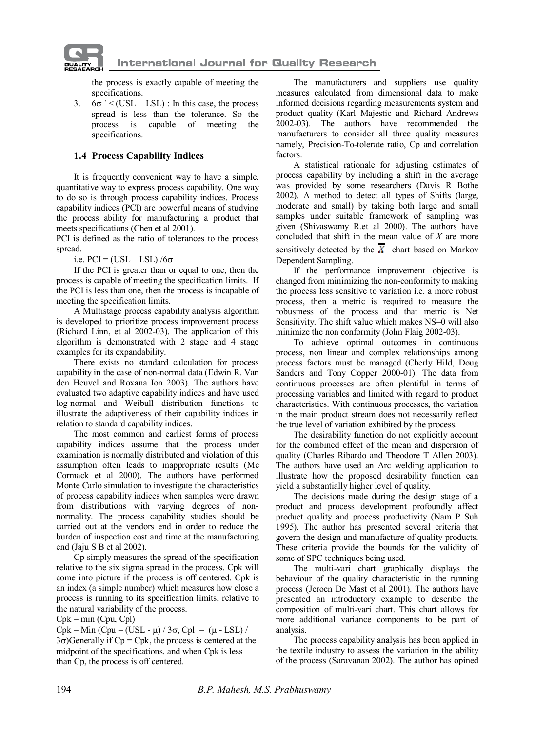

the process is exactly capable of meeting the specifications.

3.  $6\sigma$  ` < (USL – LSL) : In this case, the process spread is less than the tolerance. So the process is capable of meeting the specifications.

# **1.4 Process Capability Indices**

 It is frequently convenient way to have a simple, quantitative way to express process capability. One way to do so is through process capability indices. Process capability indices (PCI) are powerful means of studying the process ability for manufacturing a product that meets specifications (Chen et al 2001).

PCI is defined as the ratio of tolerances to the process spread.

i.e.  $PCI = (USL - LSL) / 6\sigma$ 

If the PCI is greater than or equal to one, then the process is capable of meeting the specification limits. If the PCI is less than one, then the process is incapable of meeting the specification limits.

A Multistage process capability analysis algorithm is developed to prioritize process improvement process (Richard Linn, et al 2002-03). The application of this algorithm is demonstrated with 2 stage and 4 stage examples for its expandability.

There exists no standard calculation for process capability in the case of non-normal data (Edwin R. Van den Heuvel and Roxana Ion 2003). The authors have evaluated two adaptive capability indices and have used log-normal and Weibull distribution functions to illustrate the adaptiveness of their capability indices in relation to standard capability indices.

The most common and earliest forms of process capability indices assume that the process under examination is normally distributed and violation of this assumption often leads to inappropriate results (Mc Cormack et al 2000). The authors have performed Monte Carlo simulation to investigate the characteristics of process capability indices when samples were drawn from distributions with varying degrees of nonnormality. The process capability studies should be carried out at the vendors end in order to reduce the burden of inspection cost and time at the manufacturing end (Jaju S B et al 2002).

Cp simply measures the spread of the specification relative to the six sigma spread in the process. Cpk will come into picture if the process is off centered. Cpk is an index (a simple number) which measures how close a process is running to its specification limits, relative to the natural variability of the process.

 $Cpk = min (Cpu, Cpl)$ 

 $Cpk = Min (Cpu = (USL - \mu) / 3\sigma, Cpl = (\mu - LSL) /$  $3\sigma$ )Generally if Cp = Cpk, the process is centered at the midpoint of the specifications, and when Cpk is less than Cp, the process is off centered.

The manufacturers and suppliers use quality measures calculated from dimensional data to make informed decisions regarding measurements system and product quality (Karl Majestic and Richard Andrews 2002-03). The authors have recommended the manufacturers to consider all three quality measures namely, Precision-To-tolerate ratio, Cp and correlation factors.

A statistical rationale for adjusting estimates of process capability by including a shift in the average was provided by some researchers (Davis R Bothe 2002). A method to detect all types of Shifts (large, moderate and small) by taking both large and small samples under suitable framework of sampling was given (Shivaswamy R.et al 2000). The authors have concluded that shift in the mean value of *X* are more sensitively detected by the  $\overline{X}$  chart based on Markov Dependent Sampling.

If the performance improvement objective is changed from minimizing the non-conformity to making the process less sensitive to variation i.e. a more robust process, then a metric is required to measure the robustness of the process and that metric is Net Sensitivity. The shift value which makes NS=0 will also minimize the non conformity (John Flaig 2002-03).

To achieve optimal outcomes in continuous process, non linear and complex relationships among process factors must be managed (Cherly Hild, Doug Sanders and Tony Copper 2000-01). The data from continuous processes are often plentiful in terms of processing variables and limited with regard to product characteristics. With continuous processes, the variation in the main product stream does not necessarily reflect the true level of variation exhibited by the process.

The desirability function do not explicitly account for the combined effect of the mean and dispersion of quality (Charles Ribardo and Theodore T Allen 2003). The authors have used an Arc welding application to illustrate how the proposed desirability function can yield a substantially higher level of quality.

The decisions made during the design stage of a product and process development profoundly affect product quality and process productivity (Nam P Suh 1995). The author has presented several criteria that govern the design and manufacture of quality products. These criteria provide the bounds for the validity of some of SPC techniques being used.

The multi-vari chart graphically displays the behaviour of the quality characteristic in the running process (Jeroen De Mast et al 2001). The authors have presented an introductory example to describe the composition of multi-vari chart. This chart allows for more additional variance components to be part of analysis.

The process capability analysis has been applied in the textile industry to assess the variation in the ability of the process (Saravanan 2002). The author has opined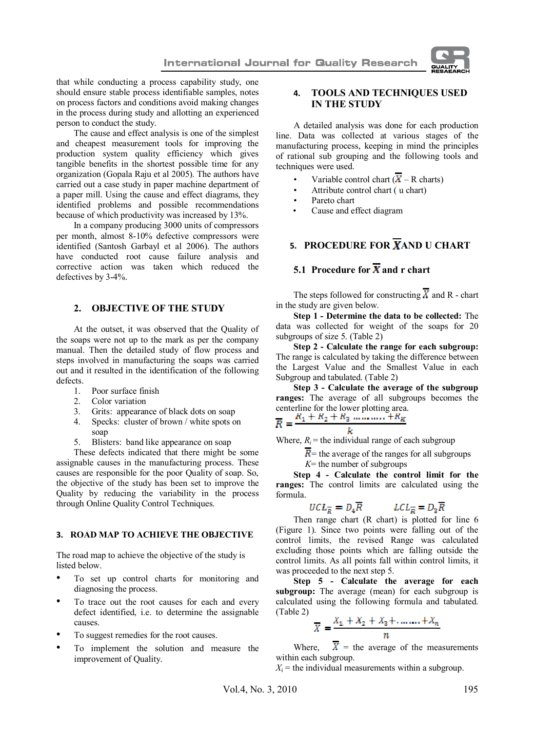

that while conducting a process capability study, one should ensure stable process identifiable samples, notes on process factors and conditions avoid making changes in the process during study and allotting an experienced person to conduct the study.

The cause and effect analysis is one of the simplest and cheapest measurement tools for improving the production system quality efficiency which gives tangible benefits in the shortest possible time for any organization (Gopala Raju et al 2005). The authors have carried out a case study in paper machine department of a paper mill. Using the cause and effect diagrams, they identified problems and possible recommendations because of which productivity was increased by 13%.

In a company producing 3000 units of compressors per month, almost 8-10% defective compressors were identified (Santosh Garbayl et al 2006). The authors have conducted root cause failure analysis and corrective action was taken which reduced the defectives by 3-4%.

#### **2. OBJECTIVE OF THE STUDY**

 At the outset, it was observed that the Quality of the soaps were not up to the mark as per the company manual. Then the detailed study of flow process and steps involved in manufacturing the soaps was carried out and it resulted in the identification of the following defects.

- 1. Poor surface finish
- 2. Color variation
- 3. Grits: appearance of black dots on soap<br>4. Specks: cluster of brown / white spots of
- Specks: cluster of brown / white spots on soap
- 5. Blisters: band like appearance on soap

These defects indicated that there might be some assignable causes in the manufacturing process. These causes are responsible for the poor Quality of soap. So, the objective of the study has been set to improve the Quality by reducing the variability in the process through Online Quality Control Techniques.

# **3. ROAD MAP TO ACHIEVE THE OBJECTIVE**

The road map to achieve the objective of the study is listed below.

- To set up control charts for monitoring and diagnosing the process.
- To trace out the root causes for each and every defect identified, i.e. to determine the assignable causes.
- To suggest remedies for the root causes.
- To implement the solution and measure the improvement of Quality.

# **4. TOOLS AND TECHNIQUES USED IN THE STUDY**

A detailed analysis was done for each production line. Data was collected at various stages of the manufacturing process, keeping in mind the principles of rational sub grouping and the following tools and techniques were used.

- Variable control chart  $(\overline{X} R \text{ charts})$
- Attribute control chart ( u chart)
- Pareto chart
- Cause and effect diagram

# **5. PROCEDURE FOR XAND U CHART**

# **5.1** Procedure for  $\overline{\mathbf{X}}$  and r chart

The steps followed for constructing  $\overline{X}$  and R - chart in the study are given below.

**Step 1 - Determine the data to be collected:** The data was collected for weight of the soaps for 20 subgroups of size 5. (Table 2)

**Step 2 - Calculate the range for each subgroup:** The range is calculated by taking the difference between the Largest Value and the Smallest Value in each Subgroup and tabulated. (Table 2)

**Step 3 - Calculate the average of the subgroup ranges:** The average of all subgroups becomes the centerline for the lower plotting area.

Where,  $R_i$  = the individual range of each subgroup

 $\overline{R}$  = the average of the ranges for all subgroups

*K*= the number of subgroups

**Step 4 - Calculate the control limit for the ranges:** The control limits are calculated using the formula.

$$
UCL_{\overline{R}} = D_4 \overline{R} \qquad LCL_{\overline{R}} = D_3 \overline{R}
$$

Then range chart (R chart) is plotted for line 6 (Figure 1). Since two points were falling out of the control limits, the revised Range was calculated excluding those points which are falling outside the control limits. As all points fall within control limits, it was proceeded to the next step 5.

**Step 5 - Calculate the average for each subgroup:** The average (mean) for each subgroup is calculated using the following formula and tabulated. (Table 2)

$$
\overline{X} = \frac{X_1 + X_2 + X_3 + \dots + X_n}{n}
$$

Where,  $\overline{X}$  = the average of the measurements within each subgroup.

 $X_i$  = the individual measurements within a subgroup.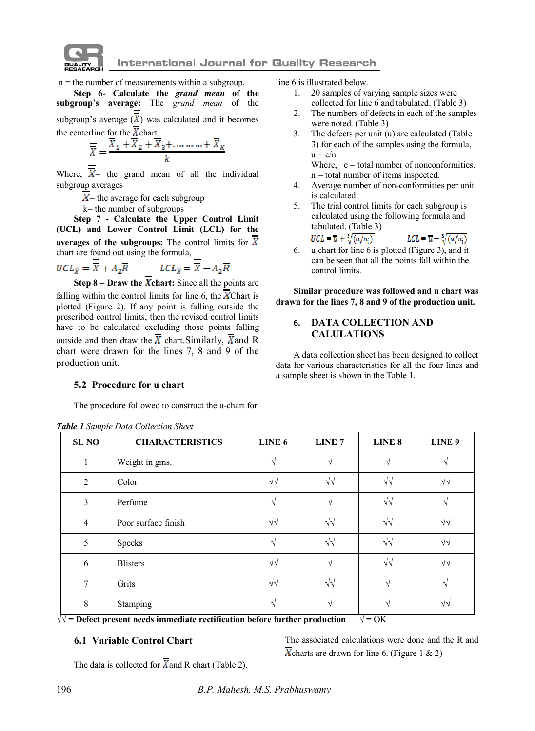

 $n =$  the number of measurements within a subgroup.

**Step 6- Calculate the** *grand mean* **of the subgroup's average:** The *grand mean* of the subgroup's average  $(X)$  was calculated and it becomes the centerline for the  $\chi$  chart.

$$
\overline{\overline{X}} = \frac{\overline{X}_1 + \overline{X}_2 + \overline{X}_3 + \dots + \overline{X}_K}{k}
$$

Where,  $\overline{X}$  = the grand mean of all the individual subgroup averages

 $X$  = the average for each subgroup

k= the number of subgroups

**Step 7 - Calculate the Upper Control Limit (UCL) and Lower Control Limit (LCL) for the averages of the subgroups:** The control limits for chart are found out using the formula,

$$
UCL_{\overline{X}} = \overline{\overline{X}} + A_2 \overline{R} \qquad \qquad LCL_{\overline{X}} = \overline{\overline{X}} - A_2 \overline{R}
$$

**Step 8 – Draw the**  $\overline{X}$ **chart:** Since all the points are falling within the control limits for line 6, the  $\overline{X}$ Chart is plotted (Figure 2). If any point is falling outside the prescribed control limits, then the revised control limits have to be calculated excluding those points falling outside and then draw the  $\overline{X}$  chart. Similarly,  $\overline{X}$  and R chart were drawn for the lines 7, 8 and 9 of the production unit.

#### **5.2 Procedure for u chart**

The procedure followed to construct the u-chart for

**SL NO CHARACTERISTICS LINE 6 LINE 7 LINE 8 LINE 9** 1 Weight in gms.  $\sqrt{}$   $\sqrt{}$   $\sqrt{}$   $\sqrt{}$ 2 Color √√ √√ √√ √√ 3 Perfume  $\vee$   $\vee$   $\vee$   $\vee$   $\vee$   $\vee$ 4 Poor surface finish √√ √√ √√ √√ 5 Specks ∴ √ √ √√ ∣ √√ ∣ √√ 6 Blisters √√ √ √√ √√ 7 Grits √√ √√ √ √ 8 Stamping ∴ | √ | √ | √ | √√

*Table 1 Sample Data Collection Sheet*

line 6 is illustrated below.

- 1. 20 samples of varying sample sizes were collected for line 6 and tabulated. (Table 3)
- 2. The numbers of defects in each of the samples were noted. (Table 3)
- 3. The defects per unit (u) are calculated (Table 3) for each of the samples using the formula,  $u = c/n$

Where,  $c =$  total number of nonconformities. n = total number of items inspected.

- 4. Average number of non-conformities per unit is calculated.
- 5. The trial control limits for each subgroup is calculated using the following formula and tabulated. (Table 3)<br> $UCL = \overline{u} + \sqrt[3]{(u/n_i)}$
- $LCL = \overline{u} \sqrt[3]{(u/n_i)}$ 6. u chart for line 6 is plotted (Figure 3), and it can be seen that all the points fall within the

**Similar procedure was followed and u chart was drawn for the lines 7, 8 and 9 of the production unit.**

# **6. DATA COLLECTION AND CALULATIONS**

control limits.

A data collection sheet has been designed to collect data for various characteristics for all the four lines and a sample sheet is shown in the Table 1.

**√√ = Defect present needs immediate rectification before further production √ =** OK

# **6.1 Variable Control Chart**

The associated calculations were done and the R and  $\overline{X}$ charts are drawn for line 6. (Figure 1 & 2)

The data is collected for  $\overline{X}$  and R chart (Table 2).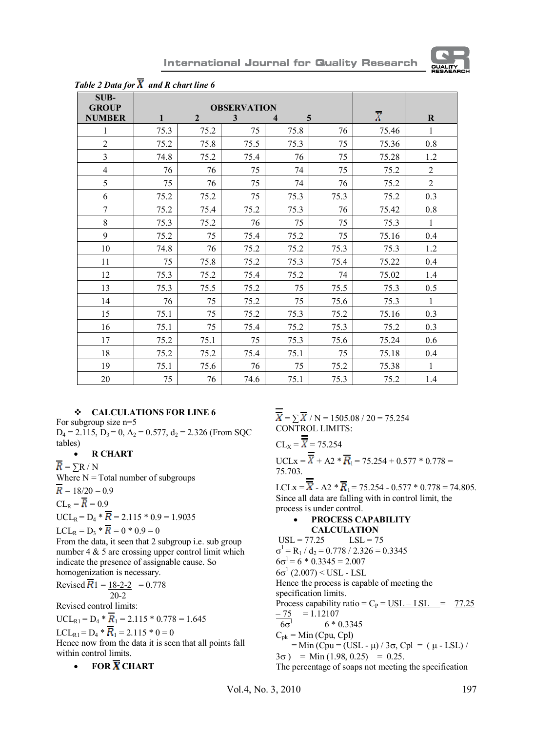

**International Journal for Quality Research** 

| SUB-           |                    |              |      |      |      |                |                |
|----------------|--------------------|--------------|------|------|------|----------------|----------------|
| <b>GROUP</b>   | <b>OBSERVATION</b> |              |      |      |      |                |                |
| <b>NUMBER</b>  | $\mathbf{1}$       | $\mathbf{2}$ | 3    | 4    | 5    | $\overline{X}$ | $\bf R$        |
| 1              | 75.3               | 75.2         | 75   | 75.8 | 76   | 75.46          | $\mathbf{1}$   |
| $\overline{c}$ | 75.2               | 75.8         | 75.5 | 75.3 | 75   | 75.36          | $0.8\,$        |
| $\mathfrak{Z}$ | 74.8               | 75.2         | 75.4 | 76   | 75   | 75.28          | 1.2            |
| $\overline{4}$ | 76                 | 76           | 75   | 74   | 75   | 75.2           | $\overline{c}$ |
| 5              | 75                 | 76           | 75   | 74   | 76   | 75.2           | $\overline{2}$ |
| 6              | 75.2               | 75.2         | 75   | 75.3 | 75.3 | 75.2           | 0.3            |
| $\tau$         | 75.2               | 75.4         | 75.2 | 75.3 | 76   | 75.42          | $0.8\,$        |
| $\,8\,$        | 75.3               | 75.2         | 76   | 75   | 75   | 75.3           | $\,1$          |
| 9              | 75.2               | 75           | 75.4 | 75.2 | 75   | 75.16          | 0.4            |
| 10             | 74.8               | 76           | 75.2 | 75.2 | 75.3 | 75.3           | 1.2            |
| 11             | 75                 | 75.8         | 75.2 | 75.3 | 75.4 | 75.22          | 0.4            |
| 12             | 75.3               | 75.2         | 75.4 | 75.2 | 74   | 75.02          | 1.4            |
| 13             | 75.3               | 75.5         | 75.2 | 75   | 75.5 | 75.3           | 0.5            |
| 14             | 76                 | 75           | 75.2 | 75   | 75.6 | 75.3           | $\,1$          |
| 15             | 75.1               | 75           | 75.2 | 75.3 | 75.2 | 75.16          | 0.3            |
| 16             | 75.1               | 75           | 75.4 | 75.2 | 75.3 | 75.2           | 0.3            |
| 17             | 75.2               | 75.1         | 75   | 75.3 | 75.6 | 75.24          | 0.6            |
| 18             | 75.2               | 75.2         | 75.4 | 75.1 | 75   | 75.18          | 0.4            |
| 19             | 75.1               | 75.6         | 76   | 75   | 75.2 | 75.38          | $\mathbf{1}$   |
| $20\,$         | 75                 | 76           | 74.6 | 75.1 | 75.3 | 75.2           | 1.4            |

*Table 2 Data for*  $\overline{X}$  and R chart line 6

# v **CALCULATIONS FOR LINE 6**

For subgroup size n=5  $D_4 = 2.115$ ,  $D_3 = 0$ ,  $A_2 = 0.577$ ,  $d_2 = 2.326$  (From SQC tables)

· **R CHART**

 $R = \sum R / N$ 

Where  $N = Total$  number of subgroups

$$
R = 18/20 = 0.9
$$

 $CL_{\rm R} = \overline{R} = 0.9$ 

 $UCL_R = D_4 * \overline{R} = 2.115 * 0.9 = 1.9035$  $LCL_R = D_3 * \overline{R} = 0 * 0.9 = 0$ 

From the data, it seen that 2 subgroup i.e. sub group

number 4 & 5 are crossing upper control limit which indicate the presence of assignable cause. So homogenization is necessary.

Revised  $\overline{R}$ 1 = 18-2-2 = 0.778 20-2

Revised control limits:

 $UCL_{R1} = D_4 * \overline{R}_1 = 2.115 * 0.778 = 1.645$ 

LCL<sub>R1</sub> =  $D_4 * \overline{R_1} = 2.115 * 0 = 0$ 

Hence now from the data it is seen that all points fall within control limits.

 $\cdot$  **FOR**  $\overline{X}$  **CHART** 

 $\overline{\overline{X}}$  =  $\sum \overline{X}$  / N = 1505.08 / 20 = 75.254 CONTROL LIMITS:

$$
CLX = \overline{X} = 75.254
$$
  
UCL<sub>X</sub> =  $\overline{X}$  + A2 \*  $\overline{R}$ <sub>1</sub> = 75.254 + 0.577 \* 0.778 = 75.703.

LCLx =  $\overline{X}$  - A2 \*  $\overline{R}$ <sub>1</sub> = 75.254 - 0.577 \* 0.778 = 74.805. Since all data are falling with in control limit, the process is under control.

# · **PROCESS CAPABILITY**

**CALCULATION**<br>7.25 **LSL** = 75  $USL = 77.25$  $\sigma^1$  = R<sub>1</sub> / d<sub>2</sub> = 0.778 / 2.326 = 0.3345  $6\sigma^1 = 6 * 0.3345 = 2.007$  $6\sigma^1$  (2.007) < USL - LSL Hence the process is capable of meeting the specification limits. Process capability ratio =  $C_P$  = USL – LSL = 77.25  $-75 = 1.12107$  $6\sigma^1$  6 \* 0.3345  $C_{pk} = Min (Cpu, Cpl)$  $=$  Min (Cpu = (USL -  $\mu$ ) / 3 $\sigma$ , Cpl = ( $\mu$  - LSL) /  $3\sigma$ ) = Min (1.98, 0.25) = 0.25. The percentage of soaps not meeting the specification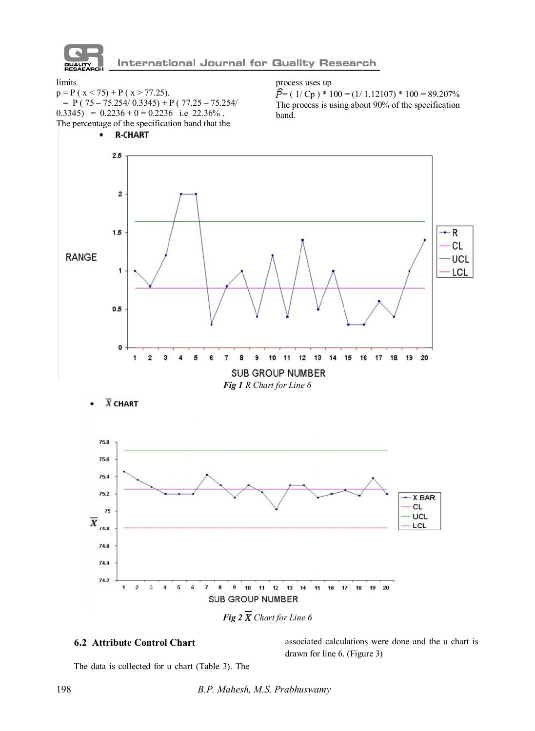

**International Journal for Quality Research** 

limits

 $p = P (x < 75) + P (x > 77.25)$ .  $= P( 75 - 75.254/ 0.3345) + P( 77.25 - 75.254/ 0.3345)$  $(0.3345) = 0.2236 + 0 = 0.2236$  i.e 22.36%. The percentage of the specification band that the

process uses up

 $\vec{P}$  = ( 1/ Cp ) \* 100 = (1/ 1.12107) \* 100 = 89.207% The process is using about 90% of the specification band.



# **6.2 Attribute Control Chart**

associated calculations were done and the u chart is drawn for line 6. (Figure 3)

The data is collected for u chart (Table 3). The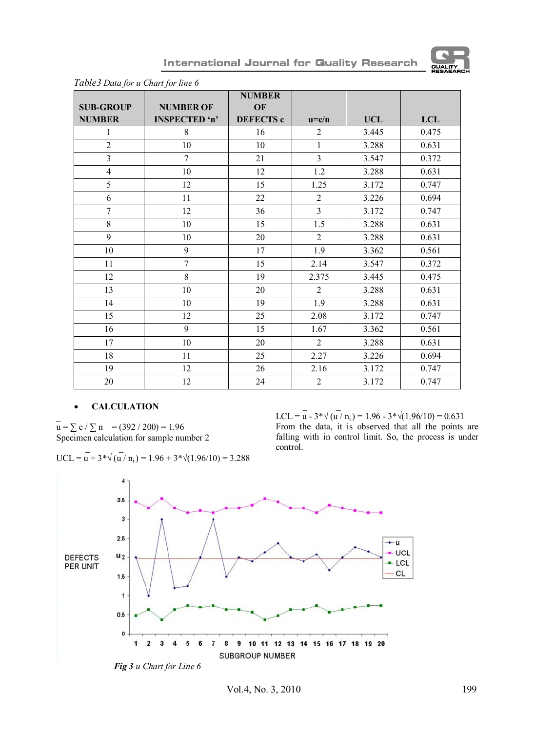

|                  |                  | <b>NUMBER</b>    |                |            |            |
|------------------|------------------|------------------|----------------|------------|------------|
| <b>SUB-GROUP</b> | <b>NUMBER OF</b> | OF               |                |            |            |
| <b>NUMBER</b>    | INSPECTED 'n'    | <b>DEFECTS c</b> | $u = c/n$      | <b>UCL</b> | <b>LCL</b> |
| $\mathbf{1}$     | 8                | 16               | $\overline{2}$ | 3.445      | 0.475      |
| $\overline{c}$   | 10               | 10               | $\mathbf{1}$   | 3.288      | 0.631      |
| 3                | $\overline{7}$   | 21               | 3              | 3.547      | 0.372      |
| $\overline{4}$   | 10               | 12               | 1.2            | 3.288      | 0.631      |
| 5                | 12               | 15               | 1.25           | 3.172      | 0.747      |
| 6                | 11               | 22               | $\overline{2}$ | 3.226      | 0.694      |
| $\overline{7}$   | 12               | 36               | 3              | 3.172      | 0.747      |
| 8                | 10               | 15               | 1.5            | 3.288      | 0.631      |
| 9                | 10               | 20               | $\overline{2}$ | 3.288      | 0.631      |
| 10               | 9                | 17               | 1.9            | 3.362      | 0.561      |
| 11               | $\overline{7}$   | 15               | 2.14           | 3.547      | 0.372      |
| 12               | 8                | 19               | 2.375          | 3.445      | 0.475      |
| 13               | 10               | 20               | $\overline{2}$ | 3.288      | 0.631      |
| 14               | 10               | 19               | 1.9            | 3.288      | 0.631      |
| 15               | 12               | 25               | 2.08           | 3.172      | 0.747      |
| 16               | 9                | 15               | 1.67           | 3.362      | 0.561      |
| 17               | 10               | 20               | $\overline{2}$ | 3.288      | 0.631      |
| 18               | 11               | 25               | 2.27           | 3.226      | 0.694      |
| 19               | 12               | 26               | 2.16           | 3.172      | 0.747      |
| 20               | 12               | 24               | $\overline{2}$ | 3.172      | 0.747      |

International Journal for Quality Research

 *Table3 Data for u Chart for line 6*

#### · **CALCULATION**

 $\overline{a}$  $u = \sum c / \sum n$  = (392 / 200) = 1.96 Specimen calculation for sample number 2

UCL = 
$$
\overline{u}
$$
 + 3\* $\sqrt{(u/n_i)}$  = 1.96 + 3\* $\sqrt{(1.96/10)}$  = 3.288

 $\sim$   $\sim$   $\sim$   $\sim$ LCL = u -  $3*\sqrt{(u/n_i)} = 1.96 - 3*\sqrt{(1.96/10)} = 0.631$ From the data, it is observed that all the points are falling with in control limit. So, the process is under control.

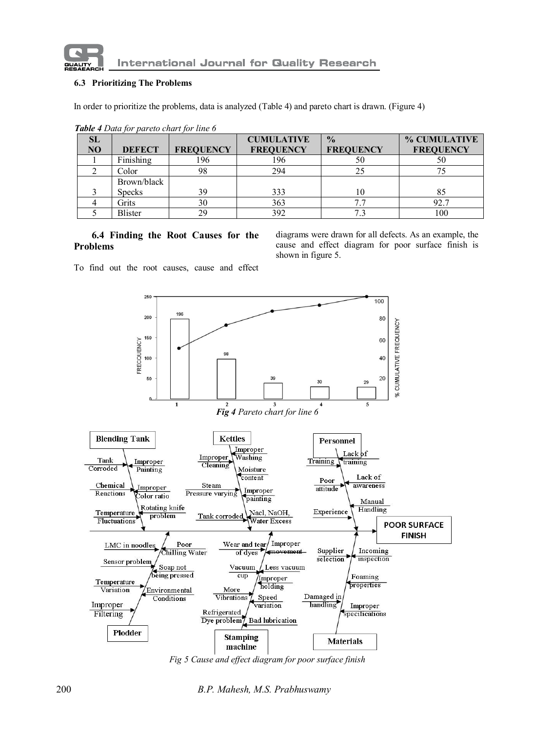

**International Journal for Quality Research** 

## **6.3 Prioritizing The Problems**

In order to prioritize the problems, data is analyzed (Table 4) and pareto chart is drawn. (Figure 4)

| <b>SL</b><br>N <sub>O</sub> | <b>DEFECT</b>  | <b>FREQUENCY</b> | <b>CUMULATIVE</b><br><b>FREQUENCY</b> | $\frac{0}{0}$<br><b>FREQUENCY</b> | % CUMULATIVE<br><b>FREQUENCY</b> |
|-----------------------------|----------------|------------------|---------------------------------------|-----------------------------------|----------------------------------|
|                             | Finishing      | 196              | 196                                   | 50                                | 50                               |
|                             | Color          | 98               | 294                                   | 25                                |                                  |
|                             | Brown/black    |                  |                                       |                                   |                                  |
|                             | <b>Specks</b>  | 39               | 333                                   | 10                                |                                  |
|                             | Grits          | 30               | 363                                   | 7.7                               | 92.7                             |
|                             | <b>Blister</b> | 29               | 392                                   |                                   | 100                              |

 *Table 4 Data for pareto chart for line 6*

## **6.4 Finding the Root Causes for the Problems**

diagrams were drawn for all defects. As an example, the cause and effect diagram for poor surface finish is shown in figure 5.

To find out the root causes, cause and effect



*Fig 5 Cause and effect diagram for poor surface finish*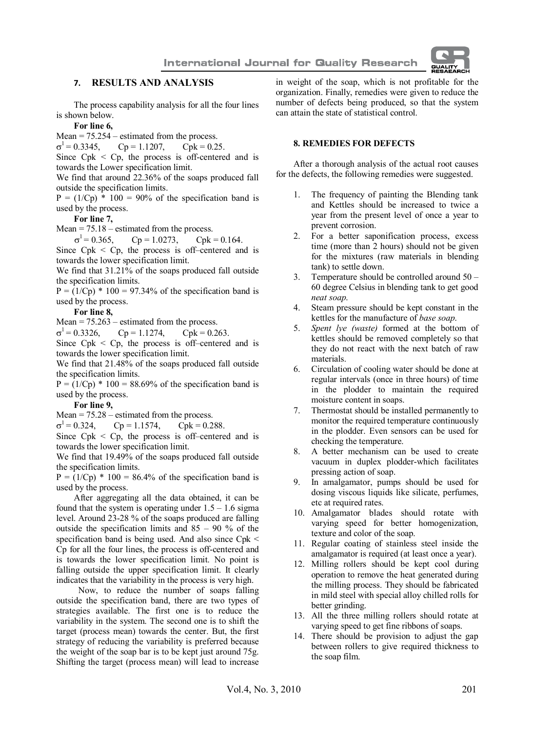

## **7. RESULTS AND ANALYSIS**

The process capability analysis for all the four lines is shown below.

#### **For line 6,**

Mean = 75.254 – estimated from the process.<br>  $\sigma^1$  = 0.3345, Cp = 1.1207, Cpk = 0.25.

 $\sigma^1$  $Cp = 1.1207$ ,

Since  $Cpk < Cp$ , the process is off-centered and is towards the Lower specification limit.

We find that around 22.36% of the soaps produced fall outside the specification limits.

 $P = (1/Cp) * 100 = 90\%$  of the specification band is used by the process.

#### **For line 7,**

Mean  $= 75.18$  – estimated from the process.

 $\sigma^1$  $Cp = 1.0273$ ,  $Cpk = 0.164$ .

Since  $Cpk < Cp$ , the process is off–centered and is towards the lower specification limit.

We find that  $31.21\%$  of the soaps produced fall outside the specification limits.

 $P = (1/Cp) * 100 = 97.34\%$  of the specification band is used by the process.

#### **For line 8,**

Mean  $= 75.263$  – estimated from the process.

 $\sigma^1$  $Cp = 1.1274$ ,  $Cpk = 0.263$ .

Since  $Cpk < Cp$ , the process is off-centered and is towards the lower specification limit.

We find that 21.48% of the soaps produced fall outside the specification limits.

 $P = (1/Cp) * 100 = 88.69%$  of the specification band is used by the process.

**For line 9,**

Mean  $= 75.28$  – estimated from the process.

 $\sigma^1$  $Cp = 1.1574$ ,  $Cpk = 0.288$ .

Since  $Cpk < Cp$ , the process is off-centered and is towards the lower specification limit.

We find that 19.49% of the soaps produced fall outside the specification limits.

 $P = (1/Cp) * 100 = 86.4%$  of the specification band is used by the process.

After aggregating all the data obtained, it can be found that the system is operating under  $1.5 - 1.6$  sigma level. Around 23-28 % of the soaps produced are falling outside the specification limits and  $85 - 90$  % of the specification band is being used. And also since Cpk < Cp for all the four lines, the process is off-centered and is towards the lower specification limit. No point is falling outside the upper specification limit. It clearly indicates that the variability in the process is very high.

 Now, to reduce the number of soaps falling outside the specification band, there are two types of strategies available. The first one is to reduce the variability in the system. The second one is to shift the target (process mean) towards the center. But, the first strategy of reducing the variability is preferred because the weight of the soap bar is to be kept just around 75g. Shifting the target (process mean) will lead to increase in weight of the soap, which is not profitable for the organization. Finally, remedies were given to reduce the number of defects being produced, so that the system can attain the state of statistical control.

# **8. REMEDIES FOR DEFECTS**

After a thorough analysis of the actual root causes for the defects, the following remedies were suggested.

- 1. The frequency of painting the Blending tank and Kettles should be increased to twice a year from the present level of once a year to prevent corrosion.
- 2. For a better saponification process, excess time (more than 2 hours) should not be given for the mixtures (raw materials in blending tank) to settle down.
- 3. Temperature should be controlled around 50 60 degree Celsius in blending tank to get good *neat soap*.
- 4. Steam pressure should be kept constant in the kettles for the manufacture of *base soap*.
- 5. *Spent lye (waste)* formed at the bottom of kettles should be removed completely so that they do not react with the next batch of raw materials.
- 6. Circulation of cooling water should be done at regular intervals (once in three hours) of time in the plodder to maintain the required moisture content in soaps.
- 7. Thermostat should be installed permanently to monitor the required temperature continuously in the plodder. Even sensors can be used for checking the temperature.
- 8. A better mechanism can be used to create vacuum in duplex plodder-which facilitates pressing action of soap.
- 9. In amalgamator, pumps should be used for dosing viscous liquids like silicate, perfumes, etc at required rates.
- 10. Amalgamator blades should rotate with varying speed for better homogenization, texture and color of the soap.
- 11. Regular coating of stainless steel inside the amalgamator is required (at least once a year).
- 12. Milling rollers should be kept cool during operation to remove the heat generated during the milling process. They should be fabricated in mild steel with special alloy chilled rolls for better grinding.
- 13. All the three milling rollers should rotate at varying speed to get fine ribbons of soaps.
- 14. There should be provision to adjust the gap between rollers to give required thickness to the soap film.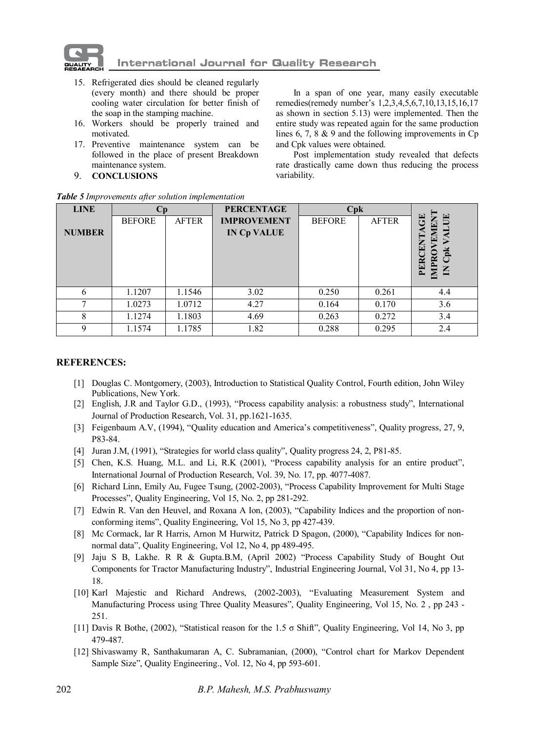

- 15. Refrigerated dies should be cleaned regularly (every month) and there should be proper cooling water circulation for better finish of the soap in the stamping machine.
- 16. Workers should be properly trained and motivated.
- 17. Preventive maintenance system can be followed in the place of present Breakdown maintenance system.
- 9. **CONCLUSIONS**

In a span of one year, many easily executable remedies(remedy number's 1,2,3,4,5,6,7,10,13,15,16,17 as shown in section 5.13) were implemented. Then the entire study was repeated again for the same production lines 6, 7, 8 & 9 and the following improvements in Cp and Cpk values were obtained.

Post implementation study revealed that defects rate drastically came down thus reducing the process variability.

| <b>LINE</b>   | Cp            |              | <b>PERCENTAGE</b>  | Cpk           |              |                             |
|---------------|---------------|--------------|--------------------|---------------|--------------|-----------------------------|
|               | <b>BEFORE</b> | <b>AFTER</b> | <b>IMPROVEMENT</b> | <b>BEFORE</b> | <b>AFTER</b> | 몱<br>E                      |
| <b>NUMBER</b> |               |              | <b>IN Cp VALUE</b> |               |              | ₹<br>囩                      |
|               |               |              |                    |               |              | ENT                         |
|               |               |              |                    |               |              | ž                           |
|               |               |              |                    |               |              | IMPR<br>PER<br>$\mathsf{K}$ |
|               |               |              |                    |               |              |                             |
| 6             | 1.1207        | 1.1546       | 3.02               | 0.250         | 0.261        | 4.4                         |
| ⇁             | 1.0273        | 1.0712       | 4.27               | 0.164         | 0.170        | 3.6                         |
| 8             | 1.1274        | 1.1803       | 4.69               | 0.263         | 0.272        | 3.4                         |
| $\mathbf Q$   | 1.1574        | 1.1785       | 1.82               | 0.288         | 0.295        | 2.4                         |

*Table 5 Improvements after solution implementation*

#### **REFERENCES:**

- [1] Douglas C. Montgomery, (2003), Introduction to Statistical Quality Control, Fourth edition, John Wiley Publications, New York.
- [2] English, J.R and Taylor G.D., (1993), "Process capability analysis: a robustness study", International Journal of Production Research, Vol. 31, pp.1621-1635.
- [3] Feigenbaum A.V, (1994), "Quality education and America's competitiveness", Quality progress, 27, 9, P83-84.
- [4] Juran J.M, (1991), "Strategies for world class quality", Quality progress 24, 2, P81-85.
- [5] Chen, K.S. Huang, M.L. and Li, R.K (2001), "Process capability analysis for an entire product", International Journal of Production Research, Vol. 39, No. 17, pp. 4077-4087.
- [6] Richard Linn, Emily Au, Fugee Tsung, (2002-2003), "Process Capability Improvement for Multi Stage Processes", Quality Engineering, Vol 15, No. 2, pp 281-292.
- [7] Edwin R. Van den Heuvel, and Roxana A Ion, (2003), "Capability Indices and the proportion of nonconforming items", Quality Engineering, Vol 15, No 3, pp 427-439.
- [8] Mc Cormack, Iar R Harris, Arnon M Hurwitz, Patrick D Spagon, (2000), "Capability Indices for nonnormal data", Quality Engineering, Vol 12, No 4, pp 489-495.
- [9] Jaju S B, Lakhe. R R & Gupta.B.M, (April 2002) "Process Capability Study of Bought Out Components for Tractor Manufacturing Industry", Industrial Engineering Journal, Vol 31, No 4, pp 13- 18.
- [10] Karl Majestic and Richard Andrews, (2002-2003), "Evaluating Measurement System and Manufacturing Process using Three Quality Measures", Quality Engineering, Vol 15, No. 2 , pp 243 - 251.
- [11] Davis R Bothe, (2002), "Statistical reason for the 1.5 σ Shift", Quality Engineering, Vol 14, No 3, pp 479-487.
- [12] Shivaswamy R, Santhakumaran A, C. Subramanian, (2000), "Control chart for Markov Dependent Sample Size", Quality Engineering., Vol. 12, No 4, pp 593-601.